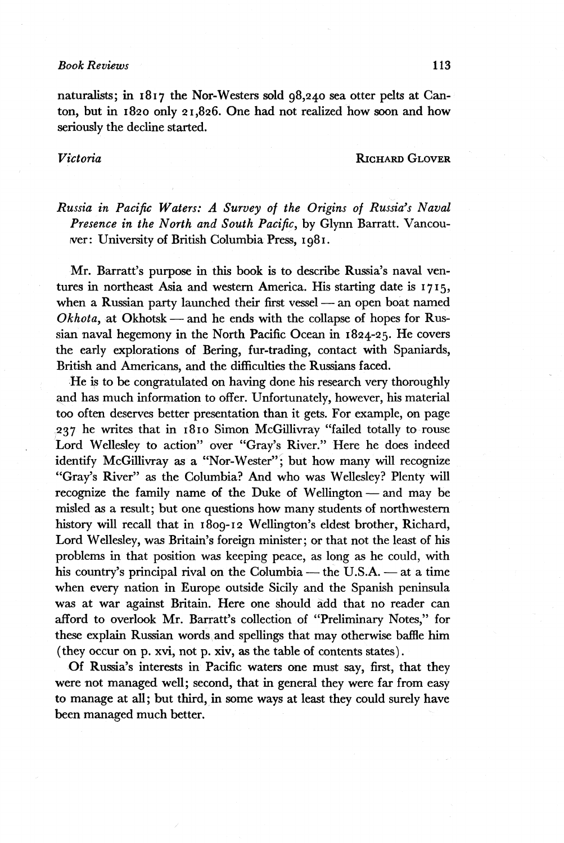### *Book Reviews* 113

naturalists; in 1817 the Nor-Westers sold 98,240 sea otter pelts at Canton, but in 1820 only 21,826. One had not realized how soon and how seriously the decline started.

## *Victoria* RICHARD GLOVER

*Russia in Pacific Waters: A Survey of the Origins of Russia's Naval Presence in the North and South Pacific,* by Glynn Barratt. Vancouver: University of British Columbia Press, 1981.

Mr. Barratt's purpose in this book is to describe Russia's naval ventures in northeast Asia and western America. His starting date is 1715, when a Russian party launched their first vessel — an open boat named *Okhota,* at Okhotsk — and he ends with the collapse of hopes for Russian naval hegemony in the North Pacific Ocean in 1824-25. He covers the early explorations of Bering, fur-trading, contact with Spaniards, British and Americans, and the difficulties the Russians faced.

He is to be congratulated on having done his research very thoroughly and has much information to offer. Unfortunately, however, his material too often deserves better presentation than it gets. For example, on page 237 he writes that in 1810 Simon McGillivray "failed totally to rouse Lord Wellesley to action" over "Gray's River." Here he does indeed identify McGillivray as a "Nor-Wester"; but how many will recognize "Gray's River" as the Columbia? And who was Wellesley? Plenty will recognize the family name of the Duke of Wellington — and may be misled as a result; but one questions how many students of northwestern history will recall that in 1809-12 Wellington's eldest brother, Richard, Lord Wellesley, was Britain's foreign minister ; or that not the least of his problems in that position was keeping peace, as long as he could, with his country's principal rival on the Columbia — the U.S.A. — at a time when every nation in Europe outside Sicily and the Spanish peninsula was at war against Britain. Here one should add that no reader can afford to overlook Mr. Barratt's collection of "Preliminary Notes," for these explain Russian words and spellings that may otherwise baffle him (they occur on p. xvi, not p. xiv, as the table of contents states).

Of Russia's interests in Pacific waters one must say, first, that they were not managed well; second, that in general they were far from easy to manage at all; but third, in some ways at least they could surely have been managed much better.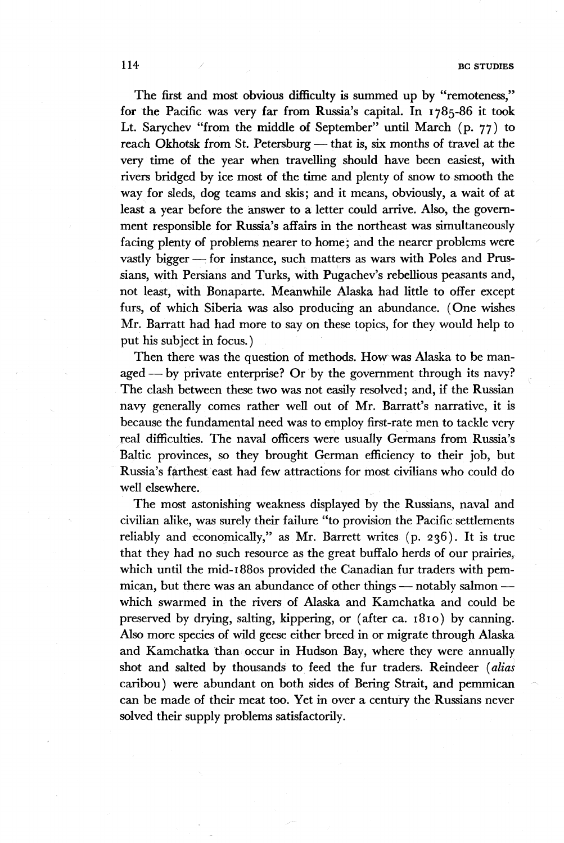#### 114 **BG STUDIES BG STUDIES**

The first and most obvious difficulty is summed up by "remoteness," for the Pacific was very far from Russia's capital. In 1785-86 it took Lt. Sarychev "from the middle of September" until March (p. 77) to reach Okhotsk from St. Petersburg — that is, six months of travel at the very time of the year when travelling should have been easiest, with rivers bridged by ice most of the time and plenty of snow to smooth the way for sleds, dog teams and skis; and it means, obviously, a wait of at least a year before the answer to a letter could arrive. Also, the government responsible for Russia's affairs in the northeast was simultaneously facing plenty of problems nearer to home; and the nearer problems were vastly bigger — for instance, such matters as wars with Poles and Prussians, with Persians and Turks, with Pugachev's rebellious peasants and, not least, with Bonaparte. Meanwhile Alaska had little to offer except furs, of which Siberia was also producing an abundance. (One wishes Mr. Barratt had had more to say on these topics, for they would help to put his subject in focus. )

Then there was the question of methods. How was Alaska to be managed— by private enterprise? Or by the government through its navy? The clash between these two was not easily resolved ; and, if the Russian navy generally comes rather well out of Mr. Barratt's narrative, it is because the fundamental need was to employ first-rate men to tackle very real difficulties. The naval officers were usually Germans from Russia's Baltic provinces, so they brought German efficiency to their job, but Russia's farthest east had few attractions for most civilians who could do well elsewhere.

The most astonishing weakness displayed by the Russians, naval and civilian alike, was surely their failure "to provision the Pacific settlements reliably and economically," as Mr. Barrett writes (p. 236). It is true that they had no such resource as the great buffalo herds of our prairies, which until the mid-i88os provided the Canadian fur traders with pemmican, but there was an abundance of other things — notably salmon which swarmed in the rivers of Alaska and Kamchatka and could be preserved by drying, salting, kippering, or (after ca.  $1810$ ) by canning. Also more species of wild geese either breed in or migrate through Alaska and Kamchatka than occur in Hudson Bay, where they were annually shot and salted by thousands to feed the fur traders. Reindeer *(alias*  caribou ) were abundant on both sides of Bering Strait, and pemmican can be made of their meat too. Yet in over a century the Russians never solved their supply problems satisfactorily.